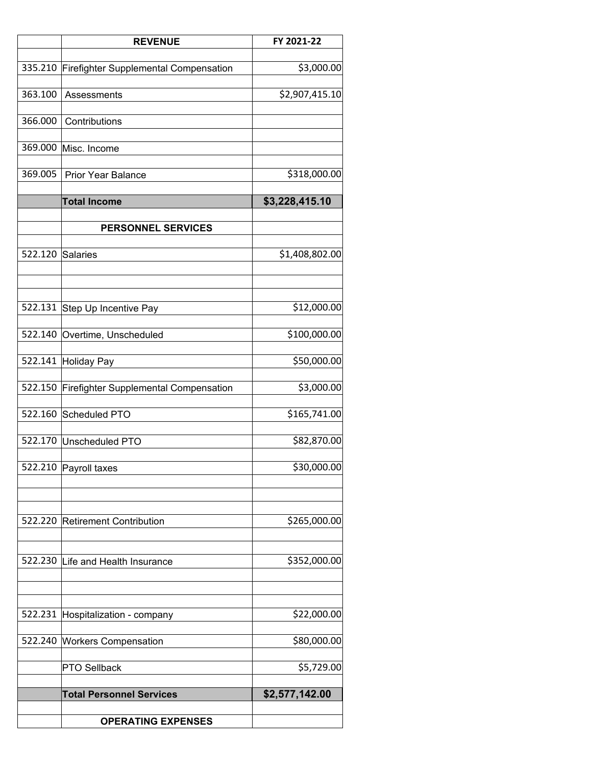|         | <b>REVENUE</b>                               | FY 2021-22     |
|---------|----------------------------------------------|----------------|
|         |                                              |                |
| 335.210 | <b>Firefighter Supplemental Compensation</b> | \$3,000.00     |
| 363.100 | Assessments                                  | \$2,907,415.10 |
|         |                                              |                |
| 366.000 | Contributions                                |                |
| 369.000 | Misc. Income                                 |                |
|         |                                              |                |
| 369.005 | <b>Prior Year Balance</b>                    | \$318,000.00   |
|         |                                              |                |
|         | <b>Total Income</b>                          | \$3,228,415.10 |
|         | <b>PERSONNEL SERVICES</b>                    |                |
|         |                                              |                |
| 522.120 | <b>Salaries</b>                              | \$1,408,802.00 |
|         |                                              |                |
|         |                                              |                |
|         | 522.131 Step Up Incentive Pay                | \$12,000.00    |
|         |                                              |                |
|         | 522.140 Overtime, Unscheduled                | \$100,000.00   |
|         |                                              | \$50,000.00    |
|         | 522.141 Holiday Pay                          |                |
| 522.150 | <b>Firefighter Supplemental Compensation</b> | \$3,000.00     |
|         |                                              |                |
| 522.160 | Scheduled PTO                                | \$165,741.00   |
|         | 522.170 Unscheduled PTO                      | \$82,870.00    |
|         |                                              |                |
|         | 522.210 Payroll taxes                        | \$30,000.00    |
|         |                                              |                |
|         |                                              |                |
|         | 522.220 Retirement Contribution              | \$265,000.00   |
|         |                                              |                |
|         |                                              |                |
|         | 522.230 Life and Health Insurance            | \$352,000.00   |
|         |                                              |                |
|         |                                              |                |
| 522.231 | Hospitalization - company                    | \$22,000.00    |
|         |                                              |                |
| 522.240 | <b>Workers Compensation</b>                  | \$80,000.00    |
|         | PTO Sellback                                 | \$5,729.00     |
|         |                                              |                |
|         | <b>Total Personnel Services</b>              | \$2,577,142.00 |
|         | <b>OPERATING EXPENSES</b>                    |                |
|         |                                              |                |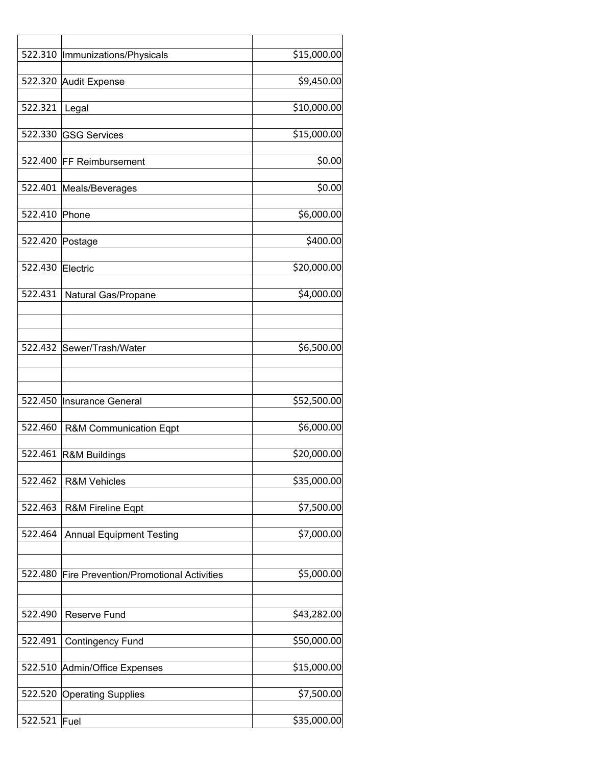|                  | 522.310  Immunizations/Physicals              | \$15,000.00            |
|------------------|-----------------------------------------------|------------------------|
|                  |                                               |                        |
|                  | 522.320 Audit Expense                         | \$9,450.00             |
|                  |                                               |                        |
| 522.321          | Legal                                         | \$10,000.00            |
|                  |                                               |                        |
|                  | 522.330 GSG Services                          | \$15,000.00            |
|                  |                                               | \$0.00                 |
|                  | 522.400 FF Reimbursement                      |                        |
|                  | 522.401 Meals/Beverages                       | \$0.00                 |
|                  |                                               |                        |
| 522.410 Phone    |                                               | \$6,000.00             |
|                  |                                               |                        |
| 522.420 Postage  |                                               | \$400.00               |
|                  |                                               |                        |
| 522.430 Electric |                                               | \$20,000.00            |
|                  |                                               |                        |
| 522.431          | Natural Gas/Propane                           | \$4,000.00             |
|                  |                                               |                        |
|                  |                                               |                        |
|                  |                                               |                        |
|                  | 522.432 Sewer/Trash/Water                     | \$6,500.00             |
|                  |                                               |                        |
|                  |                                               |                        |
|                  |                                               |                        |
| 522.450          | Insurance General                             | \$52,500.00            |
|                  |                                               |                        |
| 522.460          | R&M Communication Eqpt                        | \$6,000.00             |
|                  |                                               |                        |
| 522.461          | R&M Buildings                                 | \$20,000.00            |
| 522.462          | <b>R&amp;M Vehicles</b>                       | \$35,000.00            |
|                  |                                               |                        |
| 522.463          | R&M Fireline Eqpt                             | \$7,500.00             |
|                  |                                               |                        |
| 522.464          | <b>Annual Equipment Testing</b>               | $\overline{$}7,000.00$ |
|                  |                                               |                        |
|                  |                                               |                        |
| 522.480          | <b>Fire Prevention/Promotional Activities</b> | \$5,000.00             |
|                  |                                               |                        |
|                  |                                               |                        |
| 522.490          | Reserve Fund                                  | \$43,282.00            |
|                  |                                               |                        |
| 522.491          | <b>Contingency Fund</b>                       | \$50,000.00            |
|                  |                                               |                        |
|                  | 522.510 Admin/Office Expenses                 | \$15,000.00            |
|                  |                                               |                        |
|                  | 522.520 Operating Supplies                    | \$7,500.00             |
|                  |                                               |                        |
| 522.521          | $ $ Fuel                                      | \$35,000.00            |